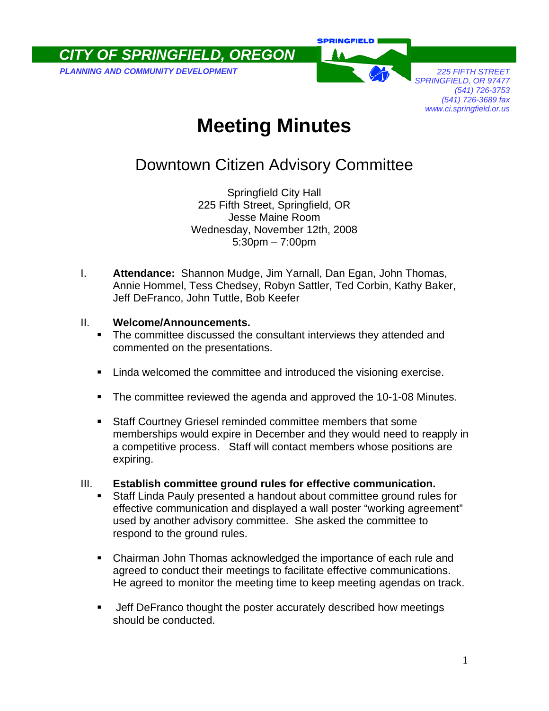*CITY OF SPRINGFIELD, OREGON* 

**PLANNING AND COMMUNITY DEVELOPMENT** *PLANNING AND COMMUNITY DEVELOPMENT* 

**SPRINGFIELD** 

*SPRINGFIELD, OR 97477 (541) 726-3753 (541) 726-3689 fax www.ci.springfield.or.us* 

# **Meeting Minutes**

## Downtown Citizen Advisory Committee

Springfield City Hall 225 Fifth Street, Springfield, OR Jesse Maine Room Wednesday, November 12th, 2008 5:30pm – 7:00pm

I. **Attendance:** Shannon Mudge, Jim Yarnall, Dan Egan, John Thomas, Annie Hommel, Tess Chedsey, Robyn Sattler, Ted Corbin, Kathy Baker, Jeff DeFranco, John Tuttle, Bob Keefer

#### II. **Welcome/Announcements.**

- The committee discussed the consultant interviews they attended and commented on the presentations.
- **EXECT** Linda welcomed the committee and introduced the visioning exercise.
- **The committee reviewed the agenda and approved the 10-1-08 Minutes.**
- Staff Courtney Griesel reminded committee members that some memberships would expire in December and they would need to reapply in a competitive process. Staff will contact members whose positions are expiring.
- III. **Establish committee ground rules for effective communication.** 
	- Staff Linda Pauly presented a handout about committee ground rules for effective communication and displayed a wall poster "working agreement" used by another advisory committee. She asked the committee to respond to the ground rules.
	- Chairman John Thomas acknowledged the importance of each rule and agreed to conduct their meetings to facilitate effective communications. He agreed to monitor the meeting time to keep meeting agendas on track.
	- **Jeff DeFranco thought the poster accurately described how meetings** should be conducted.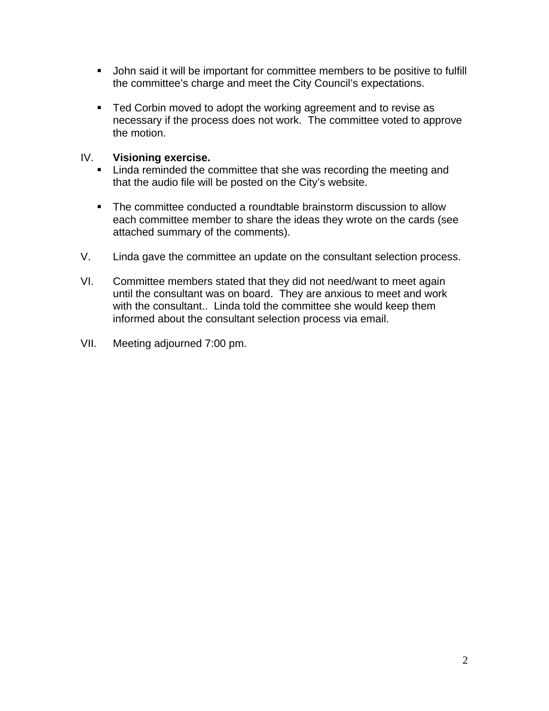- John said it will be important for committee members to be positive to fulfill the committee's charge and meet the City Council's expectations.
- Ted Corbin moved to adopt the working agreement and to revise as necessary if the process does not work. The committee voted to approve the motion.

#### IV. **Visioning exercise.**

- **EXECT** Linda reminded the committee that she was recording the meeting and that the audio file will be posted on the City's website.
- The committee conducted a roundtable brainstorm discussion to allow each committee member to share the ideas they wrote on the cards (see attached summary of the comments).
- V. Linda gave the committee an update on the consultant selection process.
- VI. Committee members stated that they did not need/want to meet again until the consultant was on board. They are anxious to meet and work with the consultant.. Linda told the committee she would keep them informed about the consultant selection process via email.
- VII. Meeting adjourned 7:00 pm.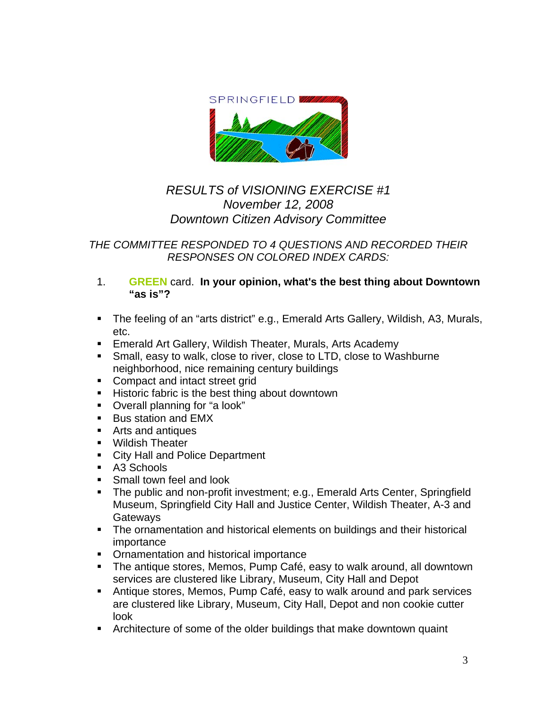

### *RESULTS of VISIONING EXERCISE #1 November 12, 2008 Downtown Citizen Advisory Committee*

*THE COMMITTEE RESPONDED TO 4 QUESTIONS AND RECORDED THEIR RESPONSES ON COLORED INDEX CARDS:* 

- 1. **GREEN** card. **In your opinion, what's the best thing about Downtown "as is"?**
- The feeling of an "arts district" e.g., Emerald Arts Gallery, Wildish, A3, Murals, etc.
- **Emerald Art Gallery, Wildish Theater, Murals, Arts Academy**
- Small, easy to walk, close to river, close to LTD, close to Washburne neighborhood, nice remaining century buildings
- Compact and intact street grid
- **Historic fabric is the best thing about downtown**
- Overall planning for "a look"
- Bus station and EMX
- Arts and antiques
- **Wildish Theater**
- **City Hall and Police Department**
- A3 Schools
- **Small town feel and look**
- The public and non-profit investment; e.g., Emerald Arts Center, Springfield Museum, Springfield City Hall and Justice Center, Wildish Theater, A-3 and **Gateways**
- The ornamentation and historical elements on buildings and their historical importance
- **Ornamentation and historical importance**
- The antique stores, Memos, Pump Café, easy to walk around, all downtown services are clustered like Library, Museum, City Hall and Depot
- Antique stores, Memos, Pump Café, easy to walk around and park services are clustered like Library, Museum, City Hall, Depot and non cookie cutter look
- Architecture of some of the older buildings that make downtown quaint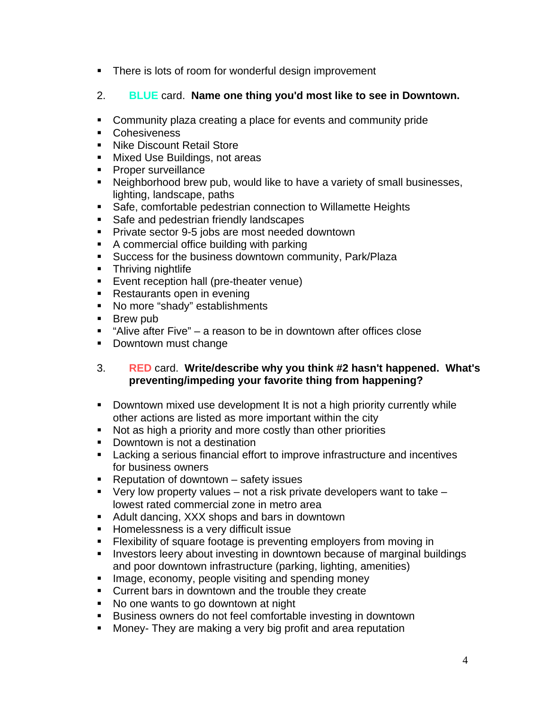- **There is lots of room for wonderful design improvement**
- 2. **BLUE** card. **Name one thing you'd most like to see in Downtown.**
- Community plaza creating a place for events and community pride
- **Cohesiveness**
- Nike Discount Retail Store
- **Mixed Use Buildings, not areas**
- **Proper surveillance**
- Neighborhood brew pub, would like to have a variety of small businesses, lighting, landscape, paths
- Safe, comfortable pedestrian connection to Willamette Heights
- Safe and pedestrian friendly landscapes
- **Private sector 9-5 jobs are most needed downtown**
- A commercial office building with parking
- **Success for the business downtown community, Park/Plaza**
- **Thriving nightlife**
- **Exent reception hall (pre-theater venue)**
- **Restaurants open in evening**
- No more "shady" establishments
- **Brew pub**
- $\blacksquare$  "Alive after Five" a reason to be in downtown after offices close
- Downtown must change

#### 3. **RED** card. **Write/describe why you think #2 hasn't happened. What's preventing/impeding your favorite thing from happening?**

- **Downtown mixed use development It is not a high priority currently while** other actions are listed as more important within the city
- Not as high a priority and more costly than other priorities
- **Downtown is not a destination**
- Lacking a serious financial effort to improve infrastructure and incentives for business owners
- Reputation of downtown safety issues
- $\blacksquare$  Very low property values not a risk private developers want to take lowest rated commercial zone in metro area
- **Adult dancing, XXX shops and bars in downtown**
- **Homelessness is a very difficult issue**
- Flexibility of square footage is preventing employers from moving in
- **Investors leery about investing in downtown because of marginal buildings** and poor downtown infrastructure (parking, lighting, amenities)
- **Image, economy, people visiting and spending money**
- **Current bars in downtown and the trouble they create**
- No one wants to go downtown at night
- **Business owners do not feel comfortable investing in downtown**
- **Money- They are making a very big profit and area reputation**